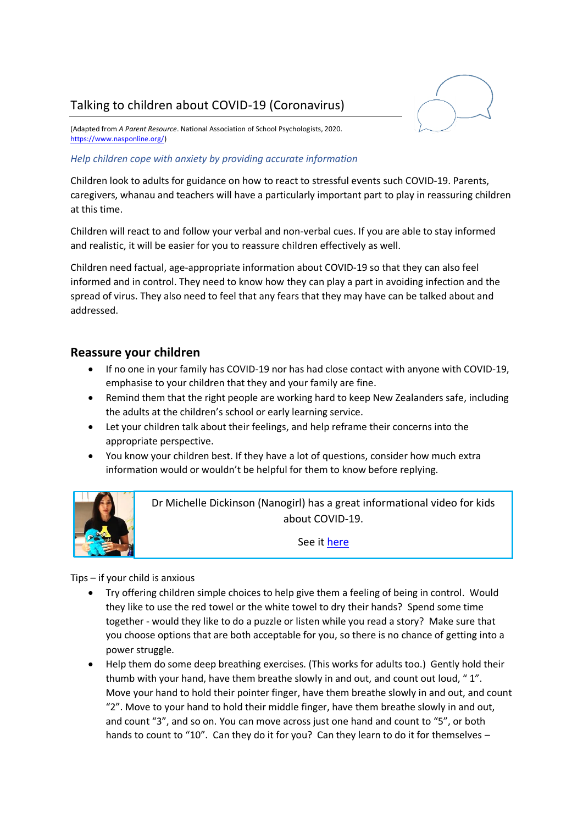# Talking to children about COVID-19 (Coronavirus)



(Adapted from *A Parent Resource*. National Association of School Psychologists, 2020. [https://www.nasponline.org/\)](https://www.nasponline.org/)

#### *Help children cope with anxiety by providing accurate information*

Children look to adults for guidance on how to react to stressful events such COVID-19. Parents, caregivers, whanau and teachers will have a particularly important part to play in reassuring children at this time.

Children will react to and follow your verbal and non-verbal cues. If you are able to stay informed and realistic, it will be easier for you to reassure children effectively as well.

Children need factual, age-appropriate information about COVID-19 so that they can also feel informed and in control. They need to know how they can play a part in avoiding infection and the spread of virus. They also need to feel that any fears that they may have can be talked about and addressed.

#### **Reassure your children**

- If no one in your family has COVID-19 nor has had close contact with anyone with COVID-19, emphasise to your children that they and your family are fine.
- Remind them that the right people are working hard to keep New Zealanders safe, including the adults at the children's school or early learning service.
- Let your children talk about their feelings, and help reframe their concerns into the appropriate perspective.
- You know your children best. If they have a lot of questions, consider how much extra information would or wouldn't be helpful for them to know before replying.



Dr Michelle Dickinson (Nanogirl) has a great informational video for kids about COVID-19.

See it [here](https://www.youtube.com/watch?v=OPsY-jLqaXM)

Tips – if your child is anxious

- Try offering children simple choices to help give them a feeling of being in control. Would they like to use the red towel or the white towel to dry their hands? Spend some time together - would they like to do a puzzle or listen while you read a story? Make sure that you choose options that are both acceptable for you, so there is no chance of getting into a power struggle.
- Help them do some deep breathing exercises. (This works for adults too.) Gently hold their thumb with your hand, have them breathe slowly in and out, and count out loud, " 1". Move your hand to hold their pointer finger, have them breathe slowly in and out, and count "2". Move to your hand to hold their middle finger, have them breathe slowly in and out, and count "3", and so on. You can move across just one hand and count to "5", or both hands to count to "10". Can they do it for you? Can they learn to do it for themselves -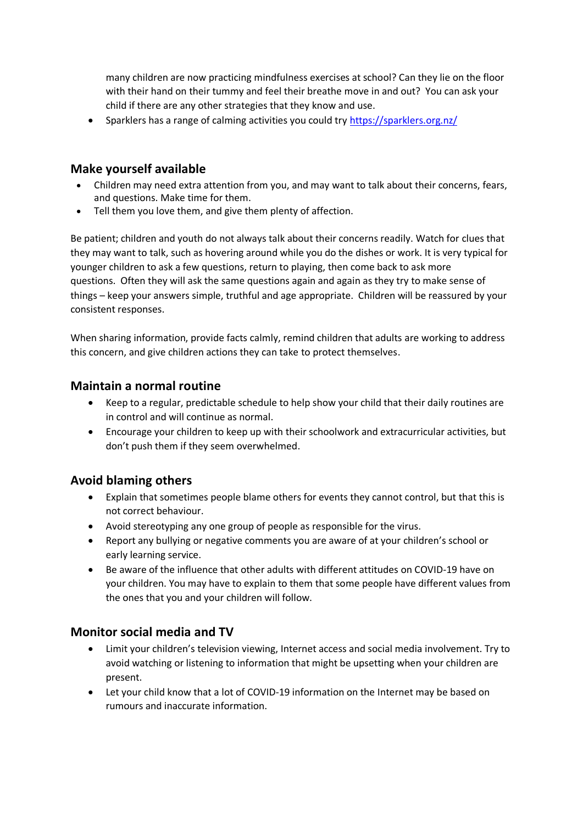many children are now practicing mindfulness exercises at school? Can they lie on the floor with their hand on their tummy and feel their breathe move in and out? You can ask your child if there are any other strategies that they know and use.

• Sparklers has a range of calming activities you could try<https://sparklers.org.nz/>

#### **Make yourself available**

- Children may need extra attention from you, and may want to talk about their concerns, fears, and questions. Make time for them.
- Tell them you love them, and give them plenty of affection.

Be patient; children and youth do not always talk about their concerns readily. Watch for clues that they may want to talk, such as hovering around while you do the dishes or work. It is very typical for younger children to ask a few questions, return to playing, then come back to ask more questions. Often they will ask the same questions again and again as they try to make sense of things – keep your answers simple, truthful and age appropriate. Children will be reassured by your consistent responses.

When sharing information, provide facts calmly, remind children that adults are working to address this concern, and give children actions they can take to protect themselves.

### **Maintain a normal routine**

- Keep to a regular, predictable schedule to help show your child that their daily routines are in control and will continue as normal.
- Encourage your children to keep up with their schoolwork and extracurricular activities, but don't push them if they seem overwhelmed.

### **Avoid blaming others**

- Explain that sometimes people blame others for events they cannot control, but that this is not correct behaviour.
- Avoid stereotyping any one group of people as responsible for the virus.
- Report any bullying or negative comments you are aware of at your children's school or early learning service.
- Be aware of the influence that other adults with different attitudes on COVID-19 have on your children. You may have to explain to them that some people have different values from the ones that you and your children will follow.

### **Monitor social media and TV**

- Limit your children's television viewing, Internet access and social media involvement. Try to avoid watching or listening to information that might be upsetting when your children are present.
- Let your child know that a lot of COVID-19 information on the Internet may be based on rumours and inaccurate information.